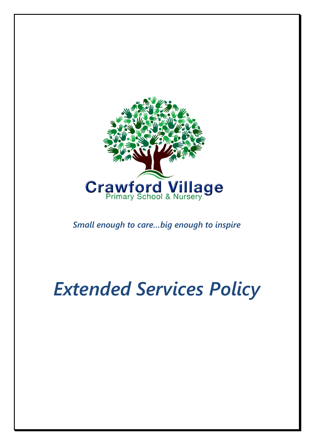

*Small enough to care…big enough to inspire*

# *Extended Services Policy*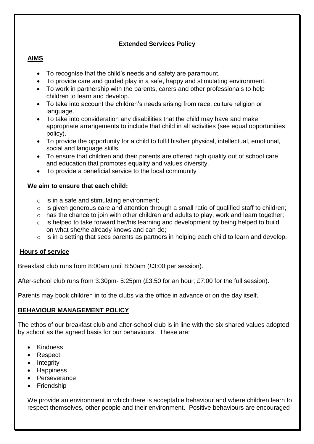# **Extended Services Policy**

## **AIMS**

- To recognise that the child's needs and safety are paramount.
- To provide care and guided play in a safe, happy and stimulating environment.
- To work in partnership with the parents, carers and other professionals to help children to learn and develop.
- To take into account the children's needs arising from race, culture religion or language.
- To take into consideration any disabilities that the child may have and make appropriate arrangements to include that child in all activities (see equal opportunities policy).
- To provide the opportunity for a child to fulfil his/her physical, intellectual, emotional, social and language skills.
- To ensure that children and their parents are offered high quality out of school care and education that promotes equality and values diversity.
- To provide a beneficial service to the local community

#### **We aim to ensure that each child:**

- $\circ$  is in a safe and stimulating environment:
- $\circ$  is given generous care and attention through a small ratio of qualified staff to children;
- o has the chance to join with other children and adults to play, work and learn together;
- o is helped to take forward her/his learning and development by being helped to build on what she/he already knows and can do;
- o is in a setting that sees parents as partners in helping each child to learn and develop.

#### **Hours of service**

Breakfast club runs from 8:00am until 8:50am (£3:00 per session).

After-school club runs from 3:30pm- 5:25pm (£3.50 for an hour; £7:00 for the full session).

Parents may book children in to the clubs via the office in advance or on the day itself.

#### **BEHAVIOUR MANAGEMENT POLICY**

The ethos of our breakfast club and after-school club is in line with the six shared values adopted by school as the agreed basis for our behaviours. These are:

- Kindness
- Respect
- Integrity
- Happiness
- Perseverance
- Friendship

We provide an environment in which there is acceptable behaviour and where children learn to respect themselves, other people and their environment. Positive behaviours are encouraged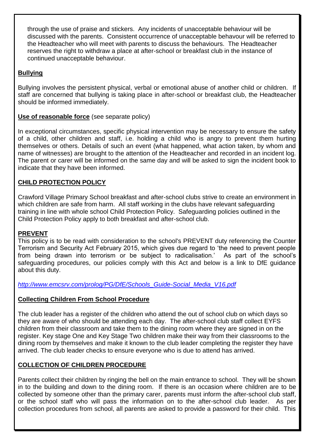through the use of praise and stickers. Any incidents of unacceptable behaviour will be discussed with the parents. Consistent occurrence of unacceptable behavour will be referred to the Headteacher who will meet with parents to discuss the behaviours. The Headteacher reserves the right to withdraw a place at after-school or breakfast club in the instance of continued unacceptable behaviour.

# **Bullying**

Bullying involves the persistent physical, verbal or emotional abuse of another child or children. If staff are concerned that bullying is taking place in after-school or breakfast club, the Headteacher should be informed immediately.

## **Use of reasonable force** (see separate policy)

In exceptional circumstances, specific physical intervention may be necessary to ensure the safety of a child, other children and staff, i.e. holding a child who is angry to prevent them hurting themselves or others. Details of such an event (what happened, what action taken, by whom and name of witnesses) are brought to the attention of the Headteacher and recorded in an incident log. The parent or carer will be informed on the same day and will be asked to sign the incident book to indicate that they have been informed.

## **CHILD PROTECTION POLICY**

Crawford Village Primary School breakfast and after-school clubs strive to create an environment in which children are safe from harm. All staff working in the clubs have relevant safeguarding training in line with whole school Child Protection Policy. Safeguarding policies outlined in the Child Protection Policy apply to both breakfast and after-school club.

#### **PREVENT**

This policy is to be read with consideration to the school's PREVENT duty referencing the Counter Terrorism and Security Act February 2015, which gives due regard to 'the need to prevent people from being drawn into terrorism or be subject to radicalisation.' As part of the school's safeguarding procedures, our policies comply with this Act and below is a link to DfE guidance about this duty.

*[http://www.emcsrv.com/prolog/PG/DfE/Schools\\_Guide-Social\\_Media\\_V16.pdf](http://www.emcsrv.com/prolog/PG/DfE/Schools_Guide-Social_Media_V16.pdf)*

#### **Collecting Children From School Procedure**

The club leader has a register of the children who attend the out of school club on which days so they are aware of who should be attending each day. The after-school club staff collect EYFS children from their classroom and take them to the dining room where they are signed in on the register. Key stage One and Key Stage Two children make their way from their classrooms to the dining room by themselves and make it known to the club leader completing the register they have arrived. The club leader checks to ensure everyone who is due to attend has arrived.

## **COLLECTION OF CHILDREN PROCEDURE**

Parents collect their children by ringing the bell on the main entrance to school. They will be shown in to the building and down to the dining room. If there is an occasion where children are to be collected by someone other than the primary carer, parents must inform the after-school club staff, or the school staff who will pass the information on to the after-school club leader. As per collection procedures from school, all parents are asked to provide a password for their child. This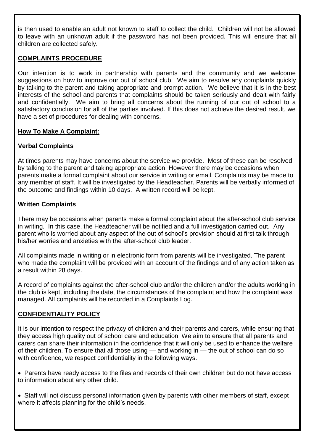is then used to enable an adult not known to staff to collect the child. Children will not be allowed to leave with an unknown adult if the password has not been provided. This will ensure that all children are collected safely.

## **COMPLAINTS PROCEDURE**

Our intention is to work in partnership with parents and the community and we welcome suggestions on how to improve our out of school club. We aim to resolve any complaints quickly by talking to the parent and taking appropriate and prompt action. We believe that it is in the best interests of the school and parents that complaints should be taken seriously and dealt with fairly and confidentially. We aim to bring all concerns about the running of our out of school to a satisfactory conclusion for all of the parties involved. If this does not achieve the desired result, we have a set of procedures for dealing with concerns.

## **How To Make A Complaint:**

## **Verbal Complaints**

At times parents may have concerns about the service we provide. Most of these can be resolved by talking to the parent and taking appropriate action. However there may be occasions when parents make a formal complaint about our service in writing or email. Complaints may be made to any member of staff. It will be investigated by the Headteacher. Parents will be verbally informed of the outcome and findings within 10 days. A written record will be kept.

## **Written Complaints**

There may be occasions when parents make a formal complaint about the after-school club service in writing. In this case, the Headteacher will be notified and a full investigation carried out. Any parent who is worried about any aspect of the out of school's provision should at first talk through his/her worries and anxieties with the after-school club leader.

All complaints made in writing or in electronic form from parents will be investigated. The parent who made the complaint will be provided with an account of the findings and of any action taken as a result within 28 days.

A record of complaints against the after-school club and/or the children and/or the adults working in the club is kept, including the date, the circumstances of the complaint and how the complaint was managed. All complaints will be recorded in a Complaints Log.

## **CONFIDENTIALITY POLICY**

It is our intention to respect the privacy of children and their parents and carers, while ensuring that they access high quality out of school care and education. We aim to ensure that all parents and carers can share their information in the confidence that it will only be used to enhance the welfare of their children. To ensure that all those using — and working in — the out of school can do so with confidence, we respect confidentiality in the following ways.

- Parents have ready access to the files and records of their own children but do not have access to information about any other child.
- Staff will not discuss personal information given by parents with other members of staff, except where it affects planning for the child's needs.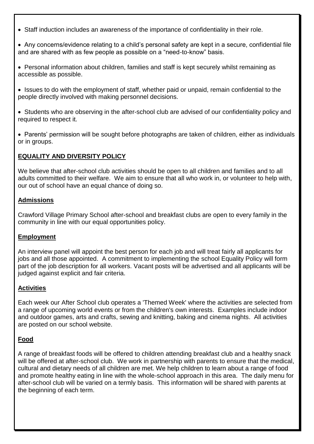- Staff induction includes an awareness of the importance of confidentiality in their role.
- Any concerns/evidence relating to a child's personal safety are kept in a secure, confidential file and are shared with as few people as possible on a "need-to-know" basis.
- Personal information about children, families and staff is kept securely whilst remaining as accessible as possible.
- Issues to do with the employment of staff, whether paid or unpaid, remain confidential to the people directly involved with making personnel decisions.
- Students who are observing in the after-school club are advised of our confidentiality policy and required to respect it.
- Parents' permission will be sought before photographs are taken of children, either as individuals or in groups.

## **EQUALITY AND DIVERSITY POLICY**

We believe that after-school club activities should be open to all children and families and to all adults committed to their welfare. We aim to ensure that all who work in, or volunteer to help with, our out of school have an equal chance of doing so.

#### **Admissions**

Crawford Village Primary School after-school and breakfast clubs are open to every family in the community in line with our equal opportunities policy.

#### **Employment**

An interview panel will appoint the best person for each job and will treat fairly all applicants for jobs and all those appointed. A commitment to implementing the school Equality Policy will form part of the job description for all workers. Vacant posts will be advertised and all applicants will be judged against explicit and fair criteria.

#### **Activities**

Each week our After School club operates a 'Themed Week' where the activities are selected from a range of upcoming world events or from the children's own interests. Examples include indoor and outdoor games, arts and crafts, sewing and knitting, baking and cinema nights. All activities are posted on our school website.

## **Food**

A range of breakfast foods will be offered to children attending breakfast club and a healthy snack will be offered at after-school club. We work in partnership with parents to ensure that the medical, cultural and dietary needs of all children are met. We help children to learn about a range of food and promote healthy eating in line with the whole-school approach in this area. The daily menu for after-school club will be varied on a termly basis. This information will be shared with parents at the beginning of each term.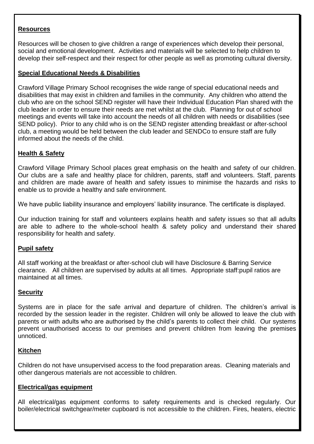#### **Resources**

Resources will be chosen to give children a range of experiences which develop their personal, social and emotional development. Activities and materials will be selected to help children to develop their self-respect and their respect for other people as well as promoting cultural diversity.

#### **Special Educational Needs & Disabilities**

Crawford Village Primary School recognises the wide range of special educational needs and disabilities that may exist in children and families in the community. Any children who attend the club who are on the school SEND register will have their Individual Education Plan shared with the club leader in order to ensure their needs are met whilst at the club. Planning for out of school meetings and events will take into account the needs of all children with needs or disabilities (see SEND policy). Prior to any child who is on the SEND register attending breakfast or after-school club, a meeting would be held between the club leader and SENDCo to ensure staff are fully informed about the needs of the child.

#### **Health & Safety**

Crawford Village Primary School places great emphasis on the health and safety of our children. Our clubs are a safe and healthy place for children, parents, staff and volunteers. Staff, parents and children are made aware of health and safety issues to minimise the hazards and risks to enable us to provide a healthy and safe environment.

We have public liability insurance and employers' liability insurance. The certificate is displayed.

Our induction training for staff and volunteers explains health and safety issues so that all adults are able to adhere to the whole-school health & safety policy and understand their shared responsibility for health and safety.

#### **Pupil safety**

All staff working at the breakfast or after-school club will have Disclosure & Barring Service clearance. All children are supervised by adults at all times. Appropriate staff:pupil ratios are maintained at all times.

#### **Security**

Systems are in place for the safe arrival and departure of children. The children's arrival is recorded by the session leader in the register. Children will only be allowed to leave the club with parents or with adults who are authorised by the child's parents to collect their child. Our systems prevent unauthorised access to our premises and prevent children from leaving the premises unnoticed.

#### **Kitchen**

Children do not have unsupervised access to the food preparation areas. Cleaning materials and other dangerous materials are not accessible to children.

#### **Electrical/gas equipment**

All electrical/gas equipment conforms to safety requirements and is checked regularly. Our boiler/electrical switchgear/meter cupboard is not accessible to the children. Fires, heaters, electric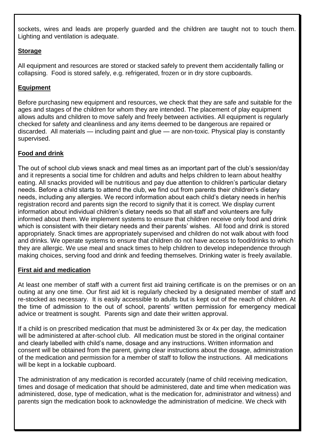sockets, wires and leads are properly guarded and the children are taught not to touch them. Lighting and ventilation is adequate.

## **Storage**

All equipment and resources are stored or stacked safely to prevent them accidentally falling or collapsing. Food is stored safely, e.g. refrigerated, frozen or in dry store cupboards.

## **Equipment**

Before purchasing new equipment and resources, we check that they are safe and suitable for the ages and stages of the children for whom they are intended. The placement of play equipment allows adults and children to move safely and freely between activities. All equipment is regularly checked for safety and cleanliness and any items deemed to be dangerous are repaired or discarded. All materials — including paint and glue — are non-toxic. Physical play is constantly supervised.

## **Food and drink**

The out of school club views snack and meal times as an important part of the club's session/day and it represents a social time for children and adults and helps children to learn about healthy eating. All snacks provided will be nutritious and pay due attention to children's particular dietary needs. Before a child starts to attend the club, we find out from parents their children's dietary needs, including any allergies. We record information about each child's dietary needs in her/his registration record and parents sign the record to signify that it is correct. We display current information about individual children's dietary needs so that all staff and volunteers are fully informed about them. We implement systems to ensure that children receive only food and drink which is consistent with their dietary needs and their parents' wishes. All food and drink is stored appropriately. Snack times are appropriately supervised and children do not walk about with food and drinks. We operate systems to ensure that children do not have access to food/drinks to which they are allergic. We use meal and snack times to help children to develop independence through making choices, serving food and drink and feeding themselves. Drinking water is freely available.

#### **First aid and medication**

At least one member of staff with a current first aid training certificate is on the premises or on an outing at any one time. Our first aid kit is regularly checked by a designated member of staff and re-stocked as necessary. It is easily accessible to adults but is kept out of the reach of children. At the time of admission to the out of school, parents' written permission for emergency medical advice or treatment is sought. Parents sign and date their written approval.

If a child is on prescribed medication that must be administered 3x or 4x per day, the medication will be administered at after-school club. All medication must be stored in the original container and clearly labelled with child's name, dosage and any instructions. Written information and consent will be obtained from the parent, giving clear instructions about the dosage, administration of the medication and permission for a member of staff to follow the instructions. All medications will be kept in a lockable cupboard.

The administration of any medication is recorded accurately (name of child receiving medication, times and dosage of medication that should be administered, date and time when medication was administered, dose, type of medication, what is the medication for, administrator and witness) and parents sign the medication book to acknowledge the administration of medicine. We check with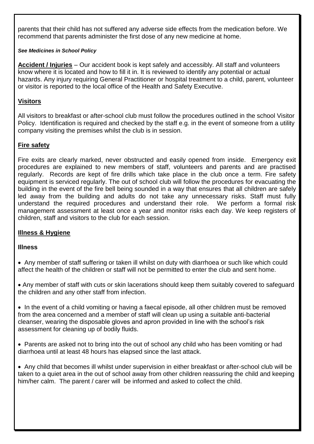parents that their child has not suffered any adverse side effects from the medication before. We recommend that parents administer the first dose of any new medicine at home.

#### *See Medicines in School Policy*

**Accident / Injuries** – Our accident book is kept safely and accessibly. All staff and volunteers know where it is located and how to fill it in. It is reviewed to identify any potential or actual hazards. Any injury requiring General Practitioner or hospital treatment to a child, parent, volunteer or visitor is reported to the local office of the Health and Safety Executive.

## **Visitors**

All visitors to breakfast or after-school club must follow the procedures outlined in the school Visitor Policy. Identification is required and checked by the staff e.g. in the event of someone from a utility company visiting the premises whilst the club is in session.

## **Fire safety**

Fire exits are clearly marked, never obstructed and easily opened from inside. Emergency exit procedures are explained to new members of staff, volunteers and parents and are practised regularly. Records are kept of fire drills which take place in the club once a term. Fire safety equipment is serviced regularly. The out of school club will follow the procedures for evacuating the building in the event of the fire bell being sounded in a way that ensures that all children are safely led away from the building and adults do not take any unnecessary risks. Staff must fully understand the required procedures and understand their role. We perform a formal risk management assessment at least once a year and monitor risks each day. We keep registers of children, staff and visitors to the club for each session.

#### **Illness & Hygiene**

#### **Illness**

 Any member of staff suffering or taken ill whilst on duty with diarrhoea or such like which could affect the health of the children or staff will not be permitted to enter the club and sent home.

 Any member of staff with cuts or skin lacerations should keep them suitably covered to safeguard the children and any other staff from infection.

• In the event of a child vomiting or having a faecal episode, all other children must be removed from the area concerned and a member of staff will clean up using a suitable anti-bacterial cleanser, wearing the disposable gloves and apron provided in line with the school's risk assessment for cleaning up of bodily fluids.

• Parents are asked not to bring into the out of school any child who has been vomiting or had diarrhoea until at least 48 hours has elapsed since the last attack.

 Any child that becomes ill whilst under supervision in either breakfast or after-school club will be taken to a quiet area in the out of school away from other children reassuring the child and keeping him/her calm. The parent / carer will be informed and asked to collect the child.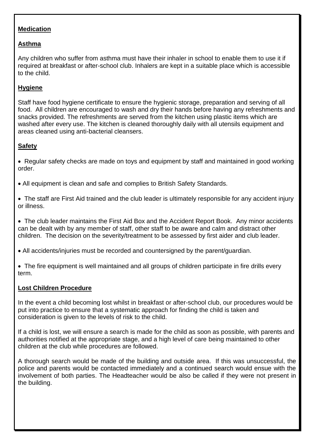## **Medication**

# **Asthma**

Any children who suffer from asthma must have their inhaler in school to enable them to use it if required at breakfast or after-school club. Inhalers are kept in a suitable place which is accessible to the child.

# **Hygiene**

Staff have food hygiene certificate to ensure the hygienic storage, preparation and serving of all food. All children are encouraged to wash and dry their hands before having any refreshments and snacks provided. The refreshments are served from the kitchen using plastic items which are washed after every use. The kitchen is cleaned thoroughly daily with all utensils equipment and areas cleaned using anti-bacterial cleansers.

## **Safety**

• Regular safety checks are made on toys and equipment by staff and maintained in good working order.

All equipment is clean and safe and complies to British Safety Standards.

• The staff are First Aid trained and the club leader is ultimately responsible for any accident injury or illness.

 The club leader maintains the First Aid Box and the Accident Report Book. Any minor accidents can be dealt with by any member of staff, other staff to be aware and calm and distract other children. The decision on the severity/treatment to be assessed by first aider and club leader.

All accidents/injuries must be recorded and countersigned by the parent/guardian.

 The fire equipment is well maintained and all groups of children participate in fire drills every term.

## **Lost Children Procedure**

In the event a child becoming lost whilst in breakfast or after-school club, our procedures would be put into practice to ensure that a systematic approach for finding the child is taken and consideration is given to the levels of risk to the child.

If a child is lost, we will ensure a search is made for the child as soon as possible, with parents and authorities notified at the appropriate stage, and a high level of care being maintained to other children at the club while procedures are followed.

A thorough search would be made of the building and outside area. If this was unsuccessful, the police and parents would be contacted immediately and a continued search would ensue with the involvement of both parties. The Headteacher would be also be called if they were not present in the building.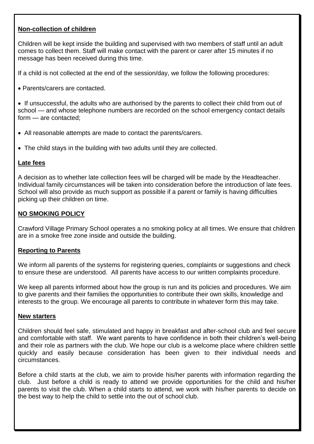#### **Non-collection of children**

Children will be kept inside the building and supervised with two members of staff until an adult comes to collect them. Staff will make contact with the parent or carer after 15 minutes if no message has been received during this time.

If a child is not collected at the end of the session/day, we follow the following procedures:

Parents/carers are contacted.

• If unsuccessful, the adults who are authorised by the parents to collect their child from out of school — and whose telephone numbers are recorded on the school emergency contact details form — are contacted;

- All reasonable attempts are made to contact the parents/carers.
- The child stays in the building with two adults until they are collected.

#### **Late fees**

A decision as to whether late collection fees will be charged will be made by the Headteacher. Individual family circumstances will be taken into consideration before the introduction of late fees. School will also provide as much support as possible if a parent or family is having difficulties picking up their children on time.

#### **NO SMOKING POLICY**

Crawford Village Primary School operates a no smoking policy at all times. We ensure that children are in a smoke free zone inside and outside the building.

#### **Reporting to Parents**

We inform all parents of the systems for registering queries, complaints or suggestions and check to ensure these are understood. All parents have access to our written complaints procedure.

We keep all parents informed about how the group is run and its policies and procedures. We aim to give parents and their families the opportunities to contribute their own skills, knowledge and interests to the group. We encourage all parents to contribute in whatever form this may take.

#### **New starters**

Children should feel safe, stimulated and happy in breakfast and after-school club and feel secure and comfortable with staff. We want parents to have confidence in both their children's well-being and their role as partners with the club. We hope our club is a welcome place where children settle quickly and easily because consideration has been given to their individual needs and circumstances.

Before a child starts at the club, we aim to provide his/her parents with information regarding the club. Just before a child is ready to attend we provide opportunities for the child and his/her parents to visit the club. When a child starts to attend, we work with his/her parents to decide on the best way to help the child to settle into the out of school club.